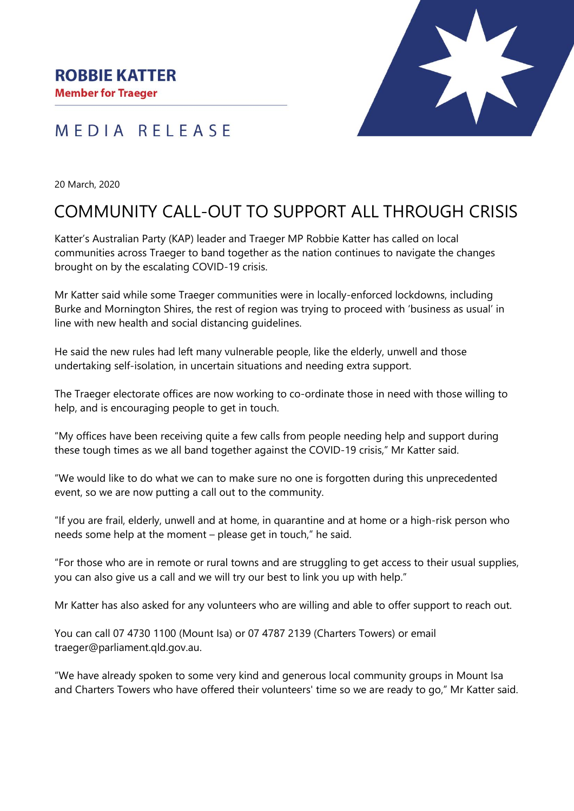#### **ROBBIE KATTER**

**Member for Traeger** 

### MEDIA RELEASE



20 March, 2020

# COMMUNITY CALL-OUT TO SUPPORT ALL THROUGH CRISIS

Katter's Australian Party (KAP) leader and Traeger MP Robbie Katter has called on local communities across Traeger to band together as the nation continues to navigate the changes brought on by the escalating COVID-19 crisis.

Mr Katter said while some Traeger communities were in locally-enforced lockdowns, including Burke and Mornington Shires, the rest of region was trying to proceed with 'business as usual' in line with new health and social distancing guidelines.

He said the new rules had left many vulnerable people, like the elderly, unwell and those undertaking self-isolation, in uncertain situations and needing extra support.

The Traeger electorate offices are now working to co-ordinate those in need with those willing to help, and is encouraging people to get in touch.

"My offices have been receiving quite a few calls from people needing help and support during these tough times as we all band together against the COVID-19 crisis," Mr Katter said.

"We would like to do what we can to make sure no one is forgotten during this unprecedented event, so we are now putting a call out to the community.

"If you are frail, elderly, unwell and at home, in quarantine and at home or a high-risk person who needs some help at the moment – please get in touch," he said.

"For those who are in remote or rural towns and are struggling to get access to their usual supplies, you can also give us a call and we will try our best to link you up with help."

Mr Katter has also asked for any volunteers who are willing and able to offer support to reach out.

You can call 07 4730 1100 (Mount Isa) or 07 4787 2139 (Charters Towers) or email traeger@parliament.qld.gov.au.

"We have already spoken to some very kind and generous local community groups in Mount Isa and Charters Towers who have offered their volunteers' time so we are ready to go," Mr Katter said.